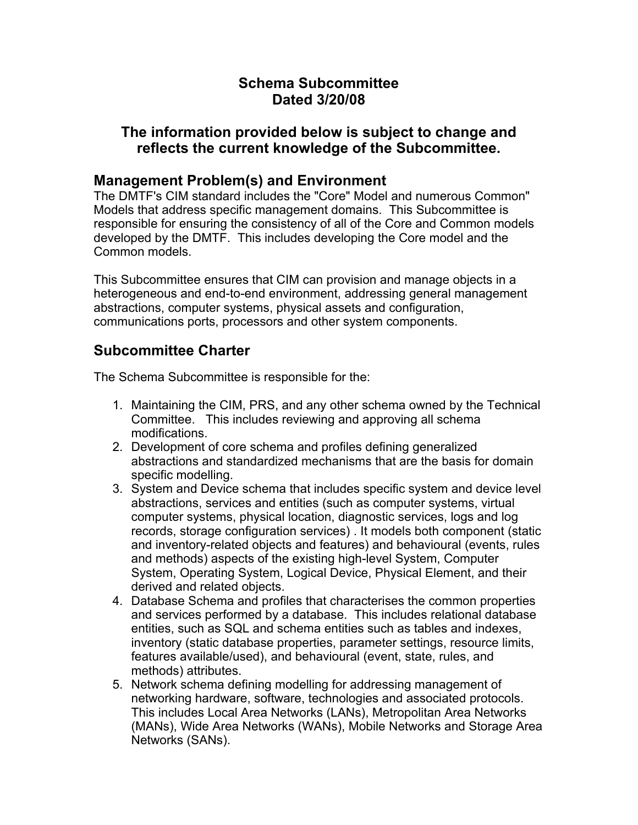## **Schema Subcommittee Dated 3/20/08**

#### **The information provided below is subject to change and reflects the current knowledge of the Subcommittee.**

### **Management Problem(s) and Environment**

The DMTF's CIM standard includes the "Core" Model and numerous Common" Models that address specific management domains. This Subcommittee is responsible for ensuring the consistency of all of the Core and Common models developed by the DMTF. This includes developing the Core model and the Common models.

This Subcommittee ensures that CIM can provision and manage objects in a heterogeneous and end-to-end environment, addressing general management abstractions, computer systems, physical assets and configuration, communications ports, processors and other system components.

## **Subcommittee Charter**

The Schema Subcommittee is responsible for the:

- 1. Maintaining the CIM, PRS, and any other schema owned by the Technical Committee. This includes reviewing and approving all schema modifications.
- 2. Development of core schema and profiles defining generalized abstractions and standardized mechanisms that are the basis for domain specific modelling.
- 3. System and Device schema that includes specific system and device level abstractions, services and entities (such as computer systems, virtual computer systems, physical location, diagnostic services, logs and log records, storage configuration services) . It models both component (static and inventory-related objects and features) and behavioural (events, rules and methods) aspects of the existing high-level System, Computer System, Operating System, Logical Device, Physical Element, and their derived and related objects.
- 4. Database Schema and profiles that characterises the common properties and services performed by a database. This includes relational database entities, such as SQL and schema entities such as tables and indexes, inventory (static database properties, parameter settings, resource limits, features available/used), and behavioural (event, state, rules, and methods) attributes.
- 5. Network schema defining modelling for addressing management of networking hardware, software, technologies and associated protocols. This includes Local Area Networks (LANs), Metropolitan Area Networks (MANs), Wide Area Networks (WANs), Mobile Networks and Storage Area Networks (SANs).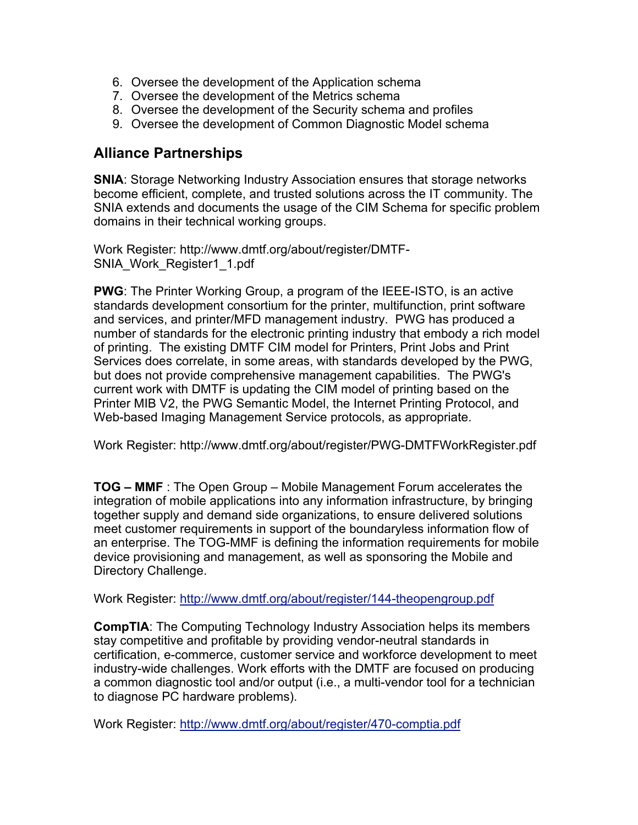- 6. Oversee the development of the Application schema
- 7. Oversee the development of the Metrics schema
- 8. Oversee the development of the Security schema and profiles
- 9. Oversee the development of Common Diagnostic Model schema

#### **Alliance Partnerships**

**SNIA**: Storage Networking Industry Association ensures that storage networks become efficient, complete, and trusted solutions across the IT community. The SNIA extends and documents the usage of the CIM Schema for specific problem domains in their technical working groups.

Work Register: http://www.dmtf.org/about/register/DMTF-SNIA\_Work\_Register1\_1.pdf

**PWG**: The Printer Working Group, a program of the IEEE-ISTO, is an active standards development consortium for the printer, multifunction, print software and services, and printer/MFD management industry. PWG has produced a number of standards for the electronic printing industry that embody a rich model of printing. The existing DMTF CIM model for Printers, Print Jobs and Print Services does correlate, in some areas, with standards developed by the PWG, but does not provide comprehensive management capabilities. The PWG's current work with DMTF is updating the CIM model of printing based on the Printer MIB V2, the PWG Semantic Model, the Internet Printing Protocol, and Web-based Imaging Management Service protocols, as appropriate.

Work Register: http://www.dmtf.org/about/register/PWG-DMTFWorkRegister.pdf

**TOG – MMF** : The Open Group – Mobile Management Forum accelerates the integration of mobile applications into any information infrastructure, by bringing together supply and demand side organizations, to ensure delivered solutions meet customer requirements in support of the boundaryless information flow of an enterprise. The TOG-MMF is defining the information requirements for mobile device provisioning and management, as well as sponsoring the Mobile and Directory Challenge.

Work Register: http://www.dmtf.org/about/register/144-theopengroup.pdf

**CompTIA**: The Computing Technology Industry Association helps its members stay competitive and profitable by providing vendor-neutral standards in certification, e-commerce, customer service and workforce development to meet industry-wide challenges. Work efforts with the DMTF are focused on producing a common diagnostic tool and/or output (i.e., a multi-vendor tool for a technician to diagnose PC hardware problems).

Work Register: http://www.dmtf.org/about/register/470-comptia.pdf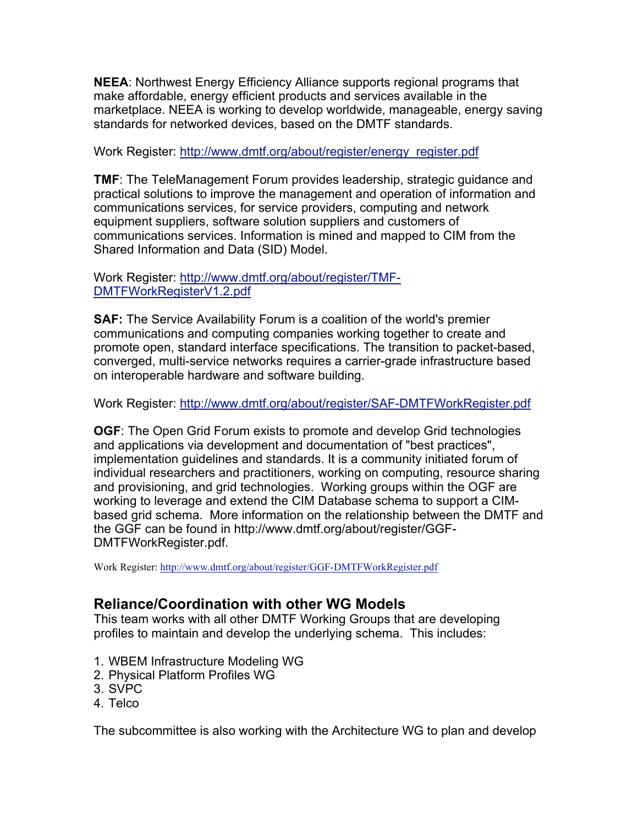**NEEA**: Northwest Energy Efficiency Alliance supports regional programs that make affordable, energy efficient products and services available in the marketplace. NEEA is working to develop worldwide, manageable, energy saving standards for networked devices, based on the DMTF standards.

Work Register: http://www.dmtf.org/about/register/energy\_register.pdf

**TMF**: The TeleManagement Forum provides leadership, strategic guidance and practical solutions to improve the management and operation of information and communications services, for service providers, computing and network equipment suppliers, software solution suppliers and customers of communications services. Information is mined and mapped to CIM from the Shared Information and Data (SID) Model.

Work Register: http://www.dmtf.org/about/register/TMF-DMTFWorkRegisterV1.2.pdf

**SAF:** The Service Availability Forum is a coalition of the world's premier communications and computing companies working together to create and promote open, standard interface specifications. The transition to packet-based, converged, multi-service networks requires a carrier-grade infrastructure based on interoperable hardware and software building.

Work Register: http://www.dmtf.org/about/register/SAF-DMTFWorkRegister.pdf

**OGF**: The Open Grid Forum exists to promote and develop Grid technologies and applications via development and documentation of "best practices", implementation guidelines and standards. It is a community initiated forum of individual researchers and practitioners, working on computing, resource sharing and provisioning, and grid technologies. Working groups within the OGF are working to leverage and extend the CIM Database schema to support a CIMbased grid schema. More information on the relationship between the DMTF and the GGF can be found in http://www.dmtf.org/about/register/GGF-DMTFWorkRegister.pdf.

Work Register: http://www.dmtf.org/about/register/GGF-DMTFWorkRegister.pdf

#### **Reliance/Coordination with other WG Models**

This team works with all other DMTF Working Groups that are developing profiles to maintain and develop the underlying schema. This includes:

- 1. WBEM Infrastructure Modeling WG
- 2. Physical Platform Profiles WG
- 3. SVPC
- 4. Telco

The subcommittee is also working with the Architecture WG to plan and develop